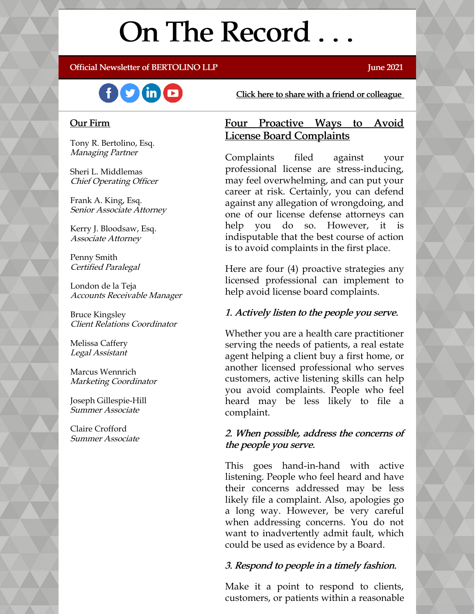# On The Record . . .

### Official Newsletter of BERTOLINO LLP **Server and Server 2021** June 2021



[Click here to share with a friend or colleague](https://visitor.r20.constantcontact.com/manage/optin?v=001xvcZBIZGArRYZxP_ENhTFsnPqgcrAHF_8FAGh0C6OoU_TYzgqPeo9kiI5F5Vb-xdZP7jClYZWX2ttQp6Q7JygJ1sq0DH9MDHJwjzNoREDc4=)

### Our Firm

Tony R. Bertolino, Esq. Managing Partner

Sheri L. Middlemas Chief Operating Officer

Frank A. King, Esq. Senior Associate Attorney

Kerry J. Bloodsaw, Esq. Associate Attorney

Penny Smith Certified Paralegal

London de la Teja Accounts Receivable Manager

Bruce Kingsley Client Relations Coordinator

Melissa Caffery Legal Assistant

Marcus Wennrich Marketing Coordinator

Joseph Gillespie-Hill Summer Associate

Claire Crofford Summer Associate

### Four Proactive Ways to Avoid License Board Complaints

Complaints filed against your professional license are stress-inducing, may feel overwhelming, and can put your career at risk. Certainly, you can defend against any allegation of wrongdoing, and one of our license defense attorneys can help you do so. However, it is indisputable that the best course of action is to avoid complaints in the first place.

Here are four (4) proactive strategies any licensed professional can implement to help avoid license board complaints.

### 1. Actively listen to the people you serve.

Whether you are a health care practitioner serving the needs of patients, a real estate agent helping a client buy a first home, or another licensed professional who serves customers, active listening skills can help you avoid complaints. People who feel heard may be less likely to file a complaint.

### 2. When possible, address the concerns of the people you serve.

This goes hand-in-hand with active listening. People who feel heard and have their concerns addressed may be less likely file a complaint. Also, apologies go a long way. However, be very careful when addressing concerns. You do not want to inadvertently admit fault, which could be used as evidence by a Board.

### 3. Respond to people in a timely fashion.

Make it a point to respond to clients, customers, or patients within a reasonable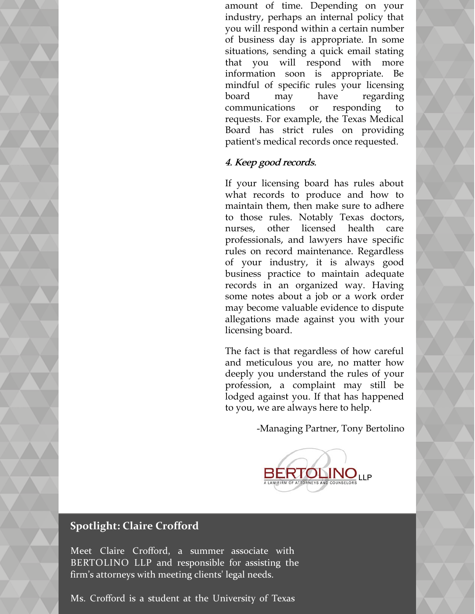amount of time. Depending on your industry, perhaps an internal policy that you will respond within a certain number of business day is appropriate. In some situations, sending a quick email stating that you will respond with more information soon is appropriate. Be mindful of specific rules your licensing board may have regarding communications or responding to requests. For example, the Texas Medical Board has strict rules on providing patient's medical records once requested.

### 4. Keep good records.

If your licensing board has rules about what records to produce and how to maintain them, then make sure to adhere to those rules. Notably Texas doctors, nurses, other licensed health care professionals, and lawyers have specific rules on record maintenance. Regardless of your industry, it is always good business practice to maintain adequate records in an organized way. Having some notes about a job or a work order may become valuable evidence to dispute allegations made against you with your licensing board.

The fact is that regardless of how careful and meticulous you are, no matter how deeply you understand the rules of your profession, a complaint may still be lodged against you. If that has happened to you, we are always here to help.

-Managing Partner, Tony Bertolino



### **Spotlight: Claire Crofford**

Meet Claire Crofford, a summer associate with BERTOLINO LLP and responsible for assisting the firm's attorneys with meeting clients' legal needs.

Ms. Crofford is a student at the University of Texas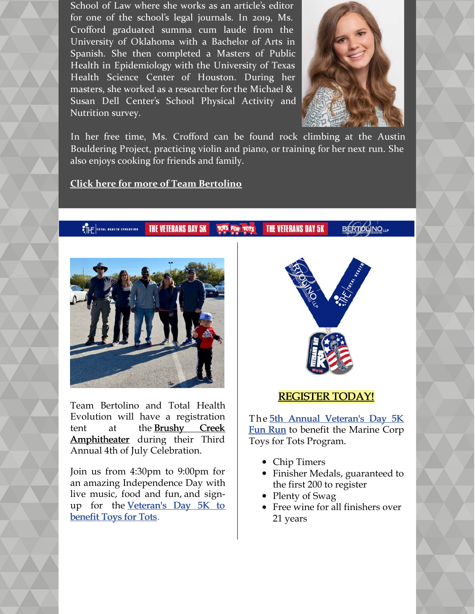School of Law where she works as an article's editor for one of the school's legal journals. In 2019, Ms. Crofford graduated summa cum laude from the University of Oklahoma with a Bachelor of Arts in Spanish. She then completed a Masters of Public Health in Epidemiology with the University of Texas Health Science Center of Houston. During her masters, she worked as a researcher for the Michael & Susan Dell Center's School Physical Activity and Nutrition survey.



In her free time, Ms. Crofford can be found rock climbing at the Austin Bouldering Project, practicing violin and piano, or training for her next run. She also enjoys cooking for friends and family.

**[Click here for more of Team Bertolino](https://www.belolaw.com/about/)**

### THE TOTAL NEALTH EVOLUTION **THE VETERANS DAY 5K THE VETERANS DAY 5K TOTS FOR TOTS**



Team Bertolino and Total Health Evolution will have a registration [tent at the Brushy Creek](https://brushycreekamp.com/) Amphitheater during their Third Annual 4th of July Celebration.

Join us from 4:30pm to 9:00pm for an amazing Independence Day with live music, food and fun, and sign[up for the Veteran's Day 5K to](https://www.active.com/hutto-tx/running/distance-running-races/t-h-e-vets-day-5k-annual-fun-run-for-toys-for-tots-2021) benefit Toys for Tots.



### [REGISTER TODAY!](https://www.active.com/hutto-tx/running/distance-running-races/t-h-e-vets-day-5k-annual-fun-run-for-toys-for-tots-2021)

The 5th Annual Veteran's Day 5K [Fun Run to benefit the Marine Corp](https://thefun5k.run/) Toys for Tots Program.

- Chip Timers
- Finisher Medals, guaranteed to the first 200 to register
- Plenty of Swag
- Free wine for all finishers over 21 years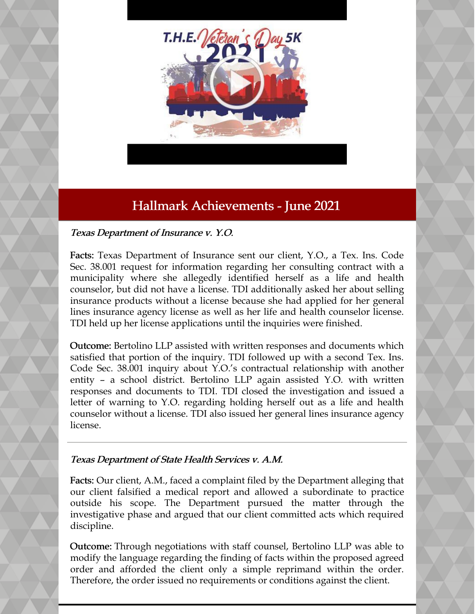

## Hallmark Achievements - June 2021

### Texas Department of Insurance v. Y.O.

Facts: Texas Department of Insurance sent our client, Y.O., a Tex. Ins. Code Sec. 38.001 request for information regarding her consulting contract with a municipality where she allegedly identified herself as a life and health counselor, but did not have a license. TDI additionally asked her about selling insurance products without a license because she had applied for her general lines insurance agency license as well as her life and health counselor license. TDI held up her license applications until the inquiries were finished.

Outcome: Bertolino LLP assisted with written responses and documents which satisfied that portion of the inquiry. TDI followed up with a second Tex. Ins. Code Sec. 38.001 inquiry about Y.O.'s contractual relationship with another entity – a school district. Bertolino LLP again assisted Y.O. with written responses and documents to TDI. TDI closed the investigation and issued a letter of warning to Y.O. regarding holding herself out as a life and health counselor without a license. TDI also issued her general lines insurance agency license.

### Texas Department of State Health Services v. A.M.

Facts: Our client, A.M., faced a complaint filed by the Department alleging that our client falsified a medical report and allowed a subordinate to practice outside his scope. The Department pursued the matter through the investigative phase and argued that our client committed acts which required discipline.

Outcome: Through negotiations with staff counsel, Bertolino LLP was able to modify the language regarding the finding of facts within the proposed agreed order and afforded the client only a simple reprimand within the order. Therefore, the order issued no requirements or conditions against the client.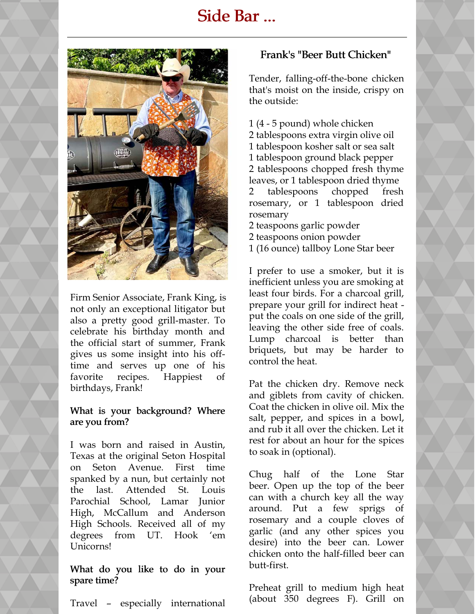# Side Bar ...



Firm Senior Associate, Frank King, is not only an exceptional litigator but also a pretty good grill-master. To celebrate his birthday month and the official start of summer, Frank gives us some insight into his offtime and serves up one of his favorite recipes. Happiest of birthdays, Frank!

### What is your background? Where are you from?

I was born and raised in Austin, Texas at the original Seton Hospital on Seton Avenue. First time spanked by a nun, but certainly not the last. Attended St. Louis Parochial School, Lamar Junior High, McCallum and Anderson High Schools. Received all of my degrees from UT. Hook 'em Unicorns!

### What do you like to do in your spare time?

Travel – especially international

### Frank's "Beer Butt Chicken"

Tender, falling-off-the-bone chicken that's moist on the inside, crispy on the outside:

- 1 (4 5 pound) whole chicken 2 tablespoons extra virgin olive oil 1 tablespoon kosher salt or sea salt 1 tablespoon ground black pepper 2 tablespoons chopped fresh thyme leaves, or 1 tablespoon dried thyme 2 tablespoons chopped fresh rosemary, or 1 tablespoon dried rosemary
- 2 teaspoons garlic powder
- 2 teaspoons onion powder
- 1 (16 ounce) tallboy Lone Star beer

I prefer to use a smoker, but it is inefficient unless you are smoking at least four birds. For a charcoal grill, prepare your grill for indirect heat put the coals on one side of the grill, leaving the other side free of coals. Lump charcoal is better than briquets, but may be harder to control the heat.

Pat the chicken dry. Remove neck and giblets from cavity of chicken. Coat the chicken in olive oil. Mix the salt, pepper, and spices in a bowl, and rub it all over the chicken. Let it rest for about an hour for the spices to soak in (optional).

Chug half of the Lone Star beer. Open up the top of the beer can with a church key all the way around. Put a few sprigs of rosemary and a couple cloves of garlic (and any other spices you desire) into the beer can. Lower chicken onto the half-filled beer can butt-first.

Preheat grill to medium high heat (about 350 degrees F). Grill on